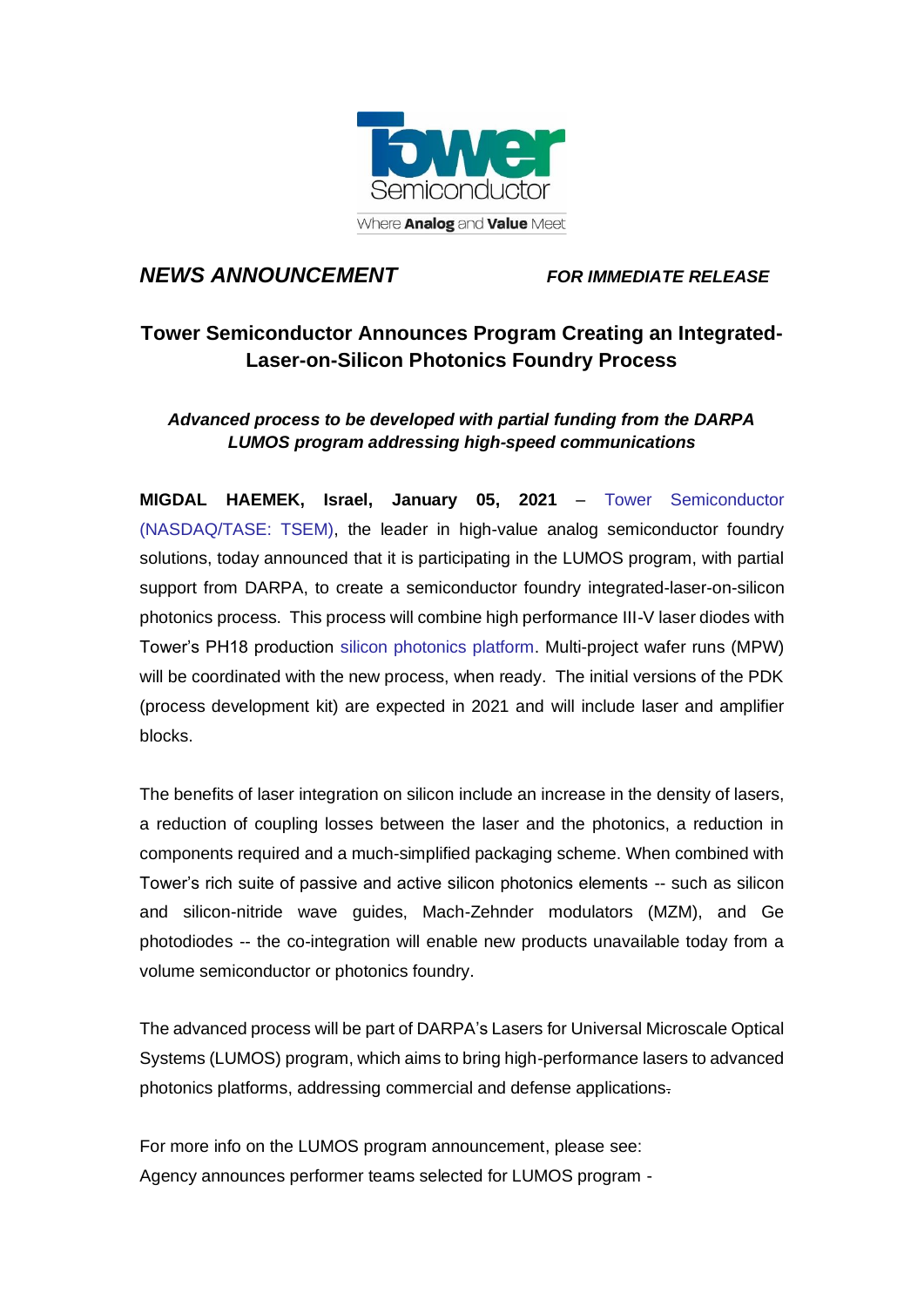

## *NEWS ANNOUNCEMENT FOR IMMEDIATE RELEASE*

# **Tower Semiconductor Announces Program Creating an Integrated-Laser-on-Silicon Photonics Foundry Process**

### *Advanced process to be developed with partial funding from the DARPA LUMOS program addressing high-speed communications*

**MIGDAL HAEMEK, Israel, January 05, 2021** – [Tower Semiconductor](https://towersemi.com/technology/) (NASDAQ/TASE: TSEM), the leader in high-value analog semiconductor foundry solutions, today announced that it is participating in the LUMOS program, with partial support from DARPA, to create a semiconductor foundry integrated-laser-on-silicon photonics process. This process will combine high performance III-V laser diodes with Tower's PH18 production [silicon photonics platform.](https://towersemi.com/technology/rf-and-hpa/silicon-photonics-rf/) Multi-project wafer runs (MPW) will be coordinated with the new process, when ready. The initial versions of the PDK (process development kit) are expected in 2021 and will include laser and amplifier blocks.

The benefits of laser integration on silicon include an increase in the density of lasers, a reduction of coupling losses between the laser and the photonics, a reduction in components required and a much-simplified packaging scheme. When combined with Tower's rich suite of passive and active silicon photonics elements -- such as silicon and silicon-nitride wave guides, Mach-Zehnder modulators (MZM), and Ge photodiodes -- the co-integration will enable new products unavailable today from a volume semiconductor or photonics foundry.

The advanced process will be part of DARPA's Lasers for Universal Microscale Optical Systems (LUMOS) program, which aims to bring high-performance lasers to advanced photonics platforms, addressing commercial and defense applications.

For more info on the LUMOS program announcement, please see: Agency announces performer teams selected for LUMOS program -